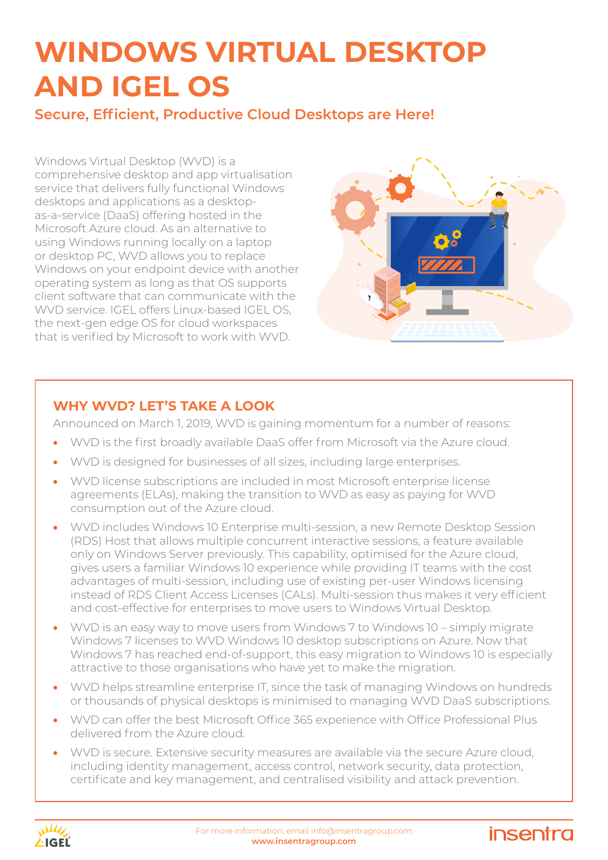**Secure, Efficient, Productive Cloud Desktops are Here!**

Windows Virtual Desktop (WVD) is a comprehensive desktop and app virtualisation service that delivers fully functional Windows desktops and applications as a desktopas-a-service (DaaS) offering hosted in the Microsoft Azure cloud. As an alternative to using Windows running locally on a laptop or desktop PC, WVD allows you to replace Windows on your endpoint device with another operating system as long as that OS supports client software that can communicate with the WVD service. IGEL offers Linux-based IGEL OS, the next-gen edge OS for cloud workspaces that is verified by Microsoft to work with WVD.



insentra

### **WHY WVD? LET'S TAKE A LOOK**

Announced on March 1, 2019, WVD is gaining momentum for a number of reasons:

- WVD is the first broadly available DaaS offer from Microsoft via the Azure cloud.
- WVD is designed for businesses of all sizes, including large enterprises.
- WVD license subscriptions are included in most Microsoft enterprise license agreements (ELAs), making the transition to WVD as easy as paying for WVD consumption out of the Azure cloud.
- WVD includes Windows 10 Enterprise multi-session, a new Remote Desktop Session (RDS) Host that allows multiple concurrent interactive sessions, a feature available only on Windows Server previously. This capability, optimised for the Azure cloud, gives users a familiar Windows 10 experience while providing IT teams with the cost advantages of multi-session, including use of existing per-user Windows licensing instead of RDS Client Access Licenses (CALs). Multi-session thus makes it very efficient and cost-effective for enterprises to move users to Windows Virtual Desktop.
- WVD is an easy way to move users from Windows 7 to Windows 10 simply migrate Windows 7 licenses to WVD Windows 10 desktop subscriptions on Azure. Now that Windows 7 has reached end-of-support, this easy migration to Windows 10 is especially attractive to those organisations who have yet to make the migration.
- WVD helps streamline enterprise IT, since the task of managing Windows on hundreds or thousands of physical desktops is minimised to managing WVD DaaS subscriptions.
- WVD can offer the best Microsoft Office 365 experience with Office Professional Plus delivered from the Azure cloud.
- WVD is secure. Extensive security measures are available via the secure Azure cloud, including identity management, access control, network security, data protection, certificate and key management, and centralised visibility and attack prevention.

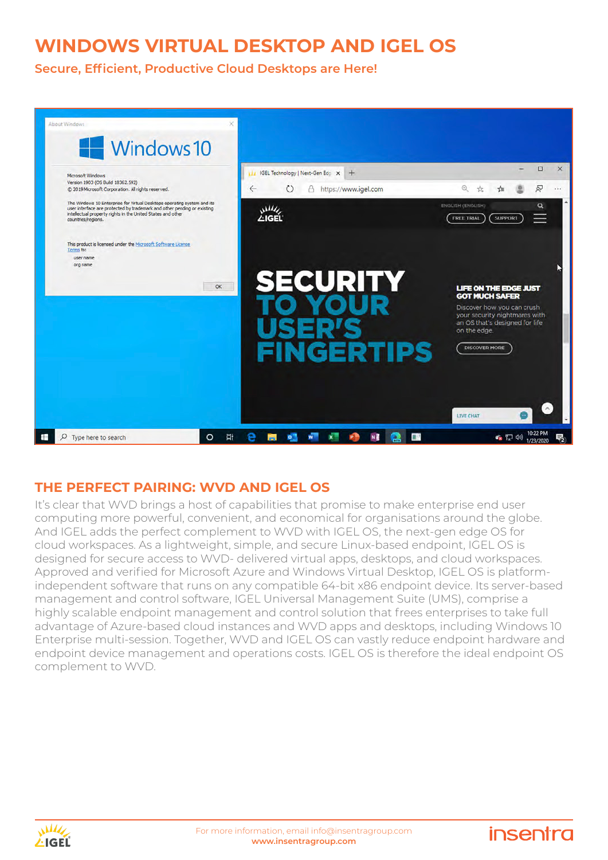**Secure, Efficient, Productive Cloud Desktops are Here!**



#### **THE PERFECT PAIRING: WVD AND IGEL OS**

It's clear that WVD brings a host of capabilities that promise to make enterprise end user computing more powerful, convenient, and economical for organisations around the globe. And IGEL adds the perfect complement to WVD with IGEL OS, the next-gen edge OS for cloud workspaces. As a lightweight, simple, and secure Linux-based endpoint, IGEL OS is designed for secure access to WVD- delivered virtual apps, desktops, and cloud workspaces. Approved and verified for Microsoft Azure and Windows Virtual Desktop, IGEL OS is platformindependent software that runs on any compatible 64-bit x86 endpoint device. Its server-based management and control software, IGEL Universal Management Suite (UMS), comprise a highly scalable endpoint management and control solution that frees enterprises to take full advantage of Azure-based cloud instances and WVD apps and desktops, including Windows 10 Enterprise multi-session. Together, WVD and IGEL OS can vastly reduce endpoint hardware and endpoint device management and operations costs. IGEL OS is therefore the ideal endpoint OS complement to WVD.



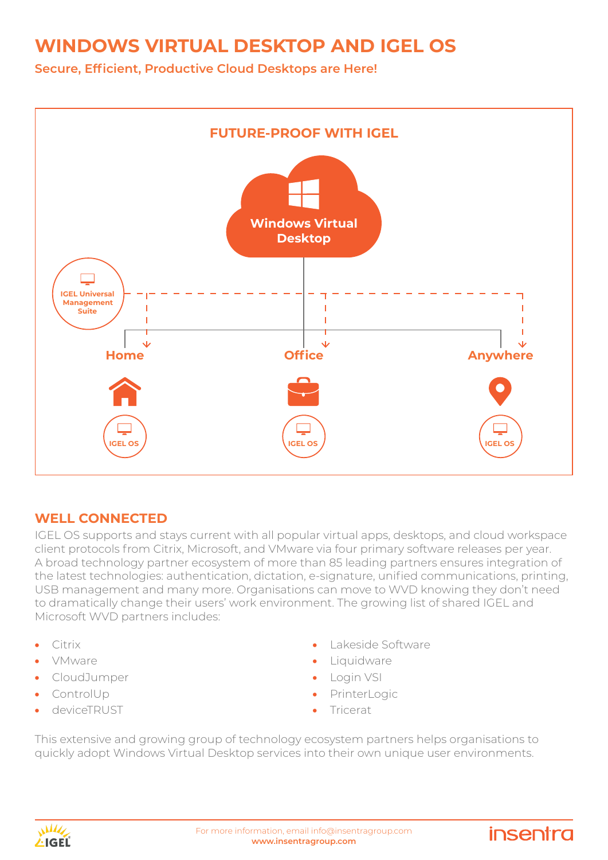**Secure, Efficient, Productive Cloud Desktops are Here!**



#### **WELL CONNECTED**

IGEL OS supports and stays current with all popular virtual apps, desktops, and cloud workspace client protocols from Citrix, Microsoft, and VMware via four primary software releases per year. A broad technology partner ecosystem of more than 85 leading partners ensures integration of the latest technologies: authentication, dictation, e-signature, unified communications, printing, USB management and many more. Organisations can move to WVD knowing they don't need to dramatically change their users' work environment. The growing list of shared IGEL and Microsoft WVD partners includes:

- Citrix
- VMware
- CloudJumper
- ControlUp
- deviceTRUST

• Lakeside Software

insentra

- Liquidware
- **Login VSI**
- **PrinterLogic**
- **Tricerat**

This extensive and growing group of technology ecosystem partners helps organisations to quickly adopt Windows Virtual Desktop services into their own unique user environments.

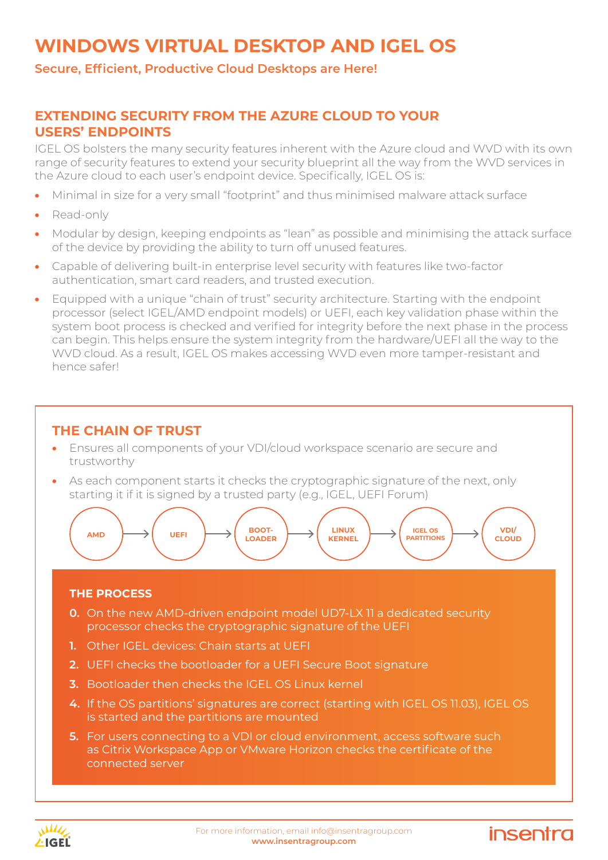#### **Secure, Efficient, Productive Cloud Desktops are Here!**

#### **EXTENDING SECURITY FROM THE AZURE CLOUD TO YOUR USERS' ENDPOINTS**

IGEL OS bolsters the many security features inherent with the Azure cloud and WVD with its own range of security features to extend your security blueprint all the way from the WVD services in the Azure cloud to each user's endpoint device. Specifically, IGEL OS is:

- Minimal in size for a very small "footprint" and thus minimised malware attack surface
- Read-only
- Modular by design, keeping endpoints as "lean" as possible and minimising the attack surface of the device by providing the ability to turn off unused features.
- Capable of delivering built-in enterprise level security with features like two-factor authentication, smart card readers, and trusted execution.
- Equipped with a unique "chain of trust" security architecture. Starting with the endpoint processor (select IGEL/AMD endpoint models) or UEFI, each key validation phase within the system boot process is checked and verified for integrity before the next phase in the process can begin. This helps ensure the system integrity from the hardware/UEFI all the way to the WVD cloud. As a result, IGEL OS makes accessing WVD even more tamper-resistant and hence safer!

#### **THE CHAIN OF TRUST**

- Ensures all components of your VDI/cloud workspace scenario are secure and trustworthy
- As each component starts it checks the cryptographic signature of the next, only starting it if it is signed by a trusted party (e.g., IGEL, UEFI Forum)



#### **THE PROCESS**

- **0.** On the new AMD-driven endpoint model UD7-LX 11 a dedicated security processor checks the cryptographic signature of the UEFI
- **1.** Other IGEL devices: Chain starts at UEFI
- **2.** UEFI checks the bootloader for a UEFI Secure Boot signature
- **3.** Bootloader then checks the IGEL OS Linux kernel
- **4.** If the OS partitions' signatures are correct (starting with IGEL OS 11.03), IGEL OS is started and the partitions are mounted
- **5.** For users connecting to a VDI or cloud environment, access software such as Citrix Workspace App or VMware Horizon checks the certificate of the connected server



## **insentra**